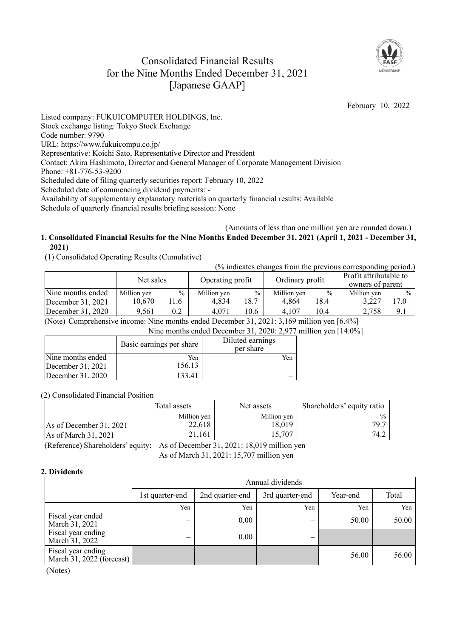# Consolidated Financial Results for the Nine Months Ended December 31, 2021 [Japanese GAAP]



February 10, 2022

Listed company: FUKUICOMPUTER HOLDINGS, Inc. Stock exchange listing: Tokyo Stock Exchange Code number: 9790 URL: https://www.fukuicompu.co.jp/ Representative: Koichi Sato, Representative Director and President Contact: Akira Hashimoto, Director and General Manager of Corporate Management Division Phone: +81-776-53-9200 Scheduled date of filing quarterly securities report: February 10, 2022 Scheduled date of commencing dividend payments: - Availability of supplementary explanatory materials on quarterly financial results: Available Schedule of quarterly financial results briefing session: None

#### (Amounts of less than one million yen are rounded down.) **1. Consolidated Financial Results for the Nine Months Ended December 31, 2021 (April 1, 2021 - December 31, 2021)**

(1) Consolidated Operating Results (Cumulative)

(% indicates changes from the previous corresponding period.)

|                   | Net sales   |               | Operating profit |               | Ordinary profit |               | Profit attributable to<br>owners of parent |               |
|-------------------|-------------|---------------|------------------|---------------|-----------------|---------------|--------------------------------------------|---------------|
| Nine months ended | Million ven | $\frac{0}{0}$ | Million yen      | $\frac{0}{0}$ | Million yen     | $\frac{0}{0}$ | Million yen                                | $\frac{0}{0}$ |
| December 31, 2021 | 10.670      | 11.6          | 4.834            | 18.7          | 4.864           | 18.4          | 3.227                                      | 17.0          |
| December 31, 2020 | 9.561       | 0.2           | 4.071            | 10.6          | 4.107           | 10.4          | 2.758                                      | 9.1           |

(Note) Comprehensive income: Nine months ended December 31, 2021: 3,169 million yen [6.4%]

Nine months ended December 31, 2020: 2,977 million yen [14.0%]

|                   | Basic earnings per share | Diluted earnings<br>per share |
|-------------------|--------------------------|-------------------------------|
| Nine months ended | Yen                      | Yen                           |
| December 31, 2021 | 156.13                   |                               |
| December 31, 2020 | 133.41                   |                               |

(2) Consolidated Financial Position

|                           | Total assets | Net assets  | Shareholders' equity ratio |  |
|---------------------------|--------------|-------------|----------------------------|--|
|                           | Million yen  | Million yen | $\frac{0}{0}$              |  |
| As of December $31, 2021$ | 22,618       | 18,019      | 79.7                       |  |
| As of March 31, 2021      | 21.161       | 15.707      | 74.2                       |  |

(Reference) Shareholders' equity: As of December 31, 2021: 18,019 million yen

As of March 31, 2021: 15,707 million yen

### **2. Dividends**

|                                                 | Annual dividends |                 |                 |          |       |  |  |  |  |  |
|-------------------------------------------------|------------------|-----------------|-----------------|----------|-------|--|--|--|--|--|
|                                                 | 1st quarter-end  | 2nd quarter-end | 3rd quarter-end | Year-end | Total |  |  |  |  |  |
|                                                 | Yen              | Yen             | Yen             | Yen      | Yen   |  |  |  |  |  |
| Fiscal year ended<br>March 31, 2021             |                  | 0.00            |                 | 50.00    | 50.00 |  |  |  |  |  |
| Fiscal year ending<br>March 31, 2022            | –                | 0.00            | —               |          |       |  |  |  |  |  |
| Fiscal year ending<br>March 31, 2022 (forecast) |                  |                 |                 | 56.00    | 56.00 |  |  |  |  |  |

(Notes)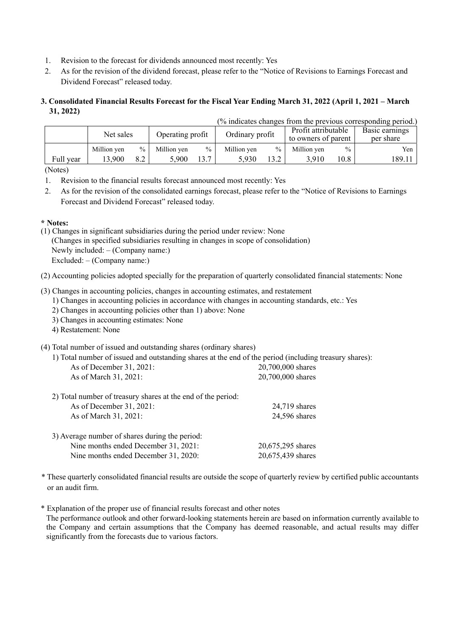- 1. Revision to the forecast for dividends announced most recently: Yes
- 2. As for the revision of the dividend forecast, please refer to the "Notice of Revisions to Earnings Forecast and Dividend Forecast" released today.

#### **3. Consolidated Financial Results Forecast for the Fiscal Year Ending March 31, 2022 (April 1, 2021 – March 31, 2022)**   $(0/\ln 4)$  actor changes from the previous corresponding period.)

|           |             |                  |             |                 |             |                     |                     |                | (% indicates changes from the previous corresponding period.) |
|-----------|-------------|------------------|-------------|-----------------|-------------|---------------------|---------------------|----------------|---------------------------------------------------------------|
| Net sales |             | Operating profit |             | Ordinary profit |             | Profit attributable |                     | Basic earnings |                                                               |
|           |             |                  |             |                 |             |                     | to owners of parent |                | per share                                                     |
|           | Million yen | $\%$             | Million ven | $\frac{0}{0}$   | Million ven | $\%$                | Million yen         | $\frac{0}{0}$  | Yen                                                           |
| Full year | 13.900      | 8.2              | 5.900       | 13.7            | 5.930       | 13.2                | 3.910               | 10.8           | 189.11                                                        |
|           |             |                  |             |                 |             |                     |                     |                |                                                               |

(Notes)

- 1. Revision to the financial results forecast announced most recently: Yes
- 2. As for the revision of the consolidated earnings forecast, please refer to the "Notice of Revisions to Earnings Forecast and Dividend Forecast" released today.

### **\* Notes:**

(1) Changes in significant subsidiaries during the period under review: None (Changes in specified subsidiaries resulting in changes in scope of consolidation) Newly included: – (Company name:) Excluded: – (Company name:)

(2) Accounting policies adopted specially for the preparation of quarterly consolidated financial statements: None

(3) Changes in accounting policies, changes in accounting estimates, and restatement

- 1) Changes in accounting policies in accordance with changes in accounting standards, etc.: Yes
- 2) Changes in accounting policies other than 1) above: None
- 3) Changes in accounting estimates: None
- 4) Restatement: None

### (4) Total number of issued and outstanding shares (ordinary shares)

1) Total number of issued and outstanding shares at the end of the period (including treasury shares):

| As of December 31, 2021:                                                                                                       | 20,700,000 shares                      |
|--------------------------------------------------------------------------------------------------------------------------------|----------------------------------------|
| As of March 31, 2021:                                                                                                          | 20,700,000 shares                      |
| 2) Total number of treasury shares at the end of the period:                                                                   |                                        |
| As of December 31, 2021:                                                                                                       | $24,719$ shares                        |
| As of March 31, 2021:                                                                                                          | 24,596 shares                          |
| 3) Average number of shares during the period:<br>Nine months ended December 31, 2021:<br>Nine months ended December 31, 2020: | 20,675,295 shares<br>20,675,439 shares |

- \* These quarterly consolidated financial results are outside the scope of quarterly review by certified public accountants or an audit firm.
- \* Explanation of the proper use of financial results forecast and other notes The performance outlook and other forward-looking statements herein are based on information currently available to the Company and certain assumptions that the Company has deemed reasonable, and actual results may differ significantly from the forecasts due to various factors.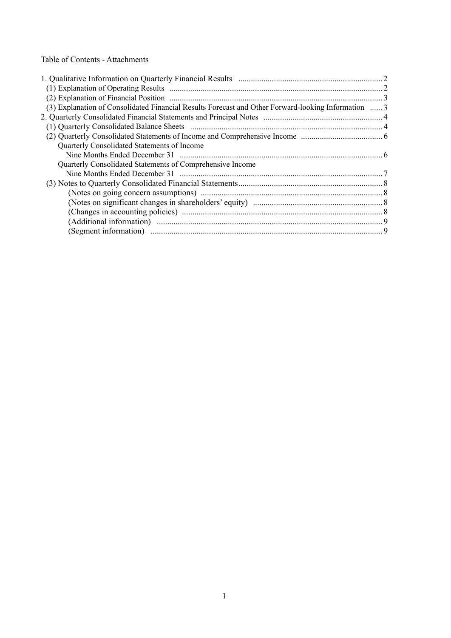Table of Contents - Attachments

| (2) Explanation of Financial Position manufactured content and the State of Financial Position manufactured and 3 |  |
|-------------------------------------------------------------------------------------------------------------------|--|
| (3) Explanation of Consolidated Financial Results Forecast and Other Forward-looking Information  3               |  |
|                                                                                                                   |  |
|                                                                                                                   |  |
|                                                                                                                   |  |
| Quarterly Consolidated Statements of Income                                                                       |  |
|                                                                                                                   |  |
| Quarterly Consolidated Statements of Comprehensive Income                                                         |  |
|                                                                                                                   |  |
|                                                                                                                   |  |
|                                                                                                                   |  |
|                                                                                                                   |  |
|                                                                                                                   |  |
|                                                                                                                   |  |
|                                                                                                                   |  |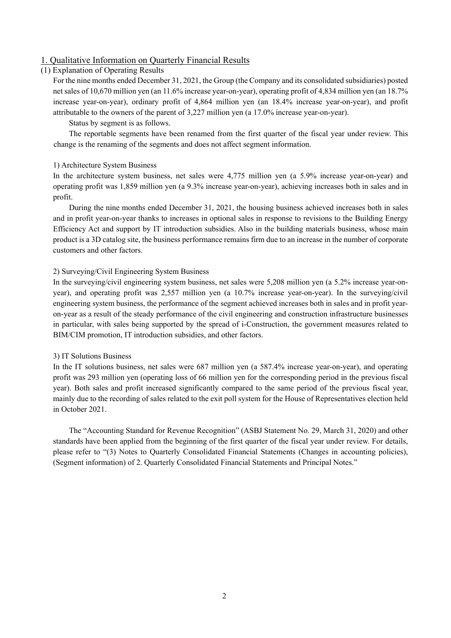### 1. Qualitative Information on Quarterly Financial Results

#### (1) Explanation of Operating Results

For the nine months ended December 31, 2021, the Group (the Company and its consolidated subsidiaries) posted net sales of 10,670 million yen (an 11.6% increase year-on-year), operating profit of 4,834 million yen (an 18.7% increase year-on-year), ordinary profit of 4,864 million yen (an 18.4% increase year-on-year), and profit attributable to the owners of the parent of 3,227 million yen (a 17.0% increase year-on-year).

Status by segment is as follows.

The reportable segments have been renamed from the first quarter of the fiscal year under review. This change is the renaming of the segments and does not affect segment information.

#### 1) Architecture System Business

In the architecture system business, net sales were 4,775 million yen (a 5.9% increase year-on-year) and operating profit was 1,859 million yen (a 9.3% increase year-on-year), achieving increases both in sales and in profit.

During the nine months ended December 31, 2021, the housing business achieved increases both in sales and in profit year-on-year thanks to increases in optional sales in response to revisions to the Building Energy Efficiency Act and support by IT introduction subsidies. Also in the building materials business, whose main product is a 3D catalog site, the business performance remains firm due to an increase in the number of corporate customers and other factors.

### 2) Surveying/Civil Engineering System Business

In the surveying/civil engineering system business, net sales were 5,208 million yen (a 5.2% increase year-onyear), and operating profit was 2,557 million yen (a 10.7% increase year-on-year). In the surveying/civil engineering system business, the performance of the segment achieved increases both in sales and in profit yearon-year as a result of the steady performance of the civil engineering and construction infrastructure businesses in particular, with sales being supported by the spread of i-Construction, the government measures related to BIM/CIM promotion, IT introduction subsidies, and other factors.

#### 3) IT Solutions Business

In the IT solutions business, net sales were 687 million yen (a 587.4% increase year-on-year), and operating profit was 293 million yen (operating loss of 66 million yen for the corresponding period in the previous fiscal year). Both sales and profit increased significantly compared to the same period of the previous fiscal year, mainly due to the recording of sales related to the exit poll system for the House of Representatives election held in October 2021.

The "Accounting Standard for Revenue Recognition" (ASBJ Statement No. 29, March 31, 2020) and other standards have been applied from the beginning of the first quarter of the fiscal year under review. For details, please refer to "(3) Notes to Quarterly Consolidated Financial Statements (Changes in accounting policies), (Segment information) of 2. Quarterly Consolidated Financial Statements and Principal Notes."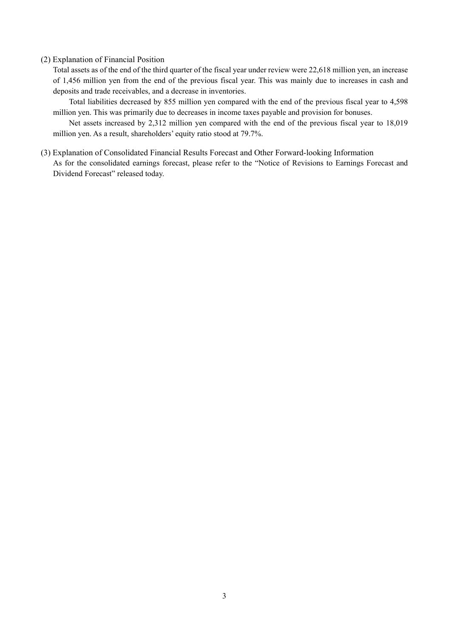#### (2) Explanation of Financial Position

Total assets as of the end of the third quarter of the fiscal year under review were 22,618 million yen, an increase of 1,456 million yen from the end of the previous fiscal year. This was mainly due to increases in cash and deposits and trade receivables, and a decrease in inventories.

Total liabilities decreased by 855 million yen compared with the end of the previous fiscal year to 4,598 million yen. This was primarily due to decreases in income taxes payable and provision for bonuses.

Net assets increased by 2,312 million yen compared with the end of the previous fiscal year to 18,019 million yen. As a result, shareholders' equity ratio stood at 79.7%.

(3) Explanation of Consolidated Financial Results Forecast and Other Forward-looking Information As for the consolidated earnings forecast, please refer to the "Notice of Revisions to Earnings Forecast and Dividend Forecast" released today.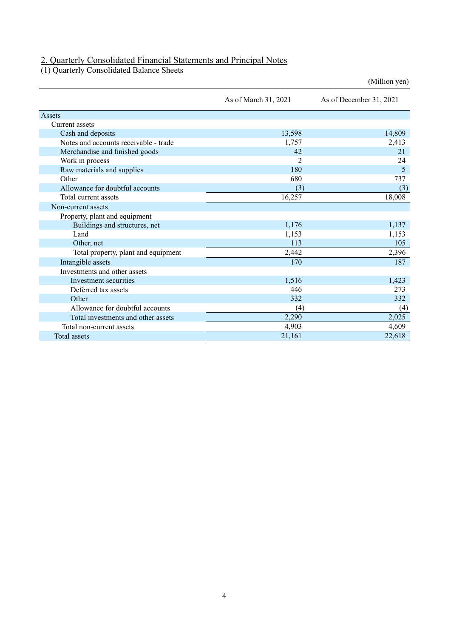### 2. Quarterly Consolidated Financial Statements and Principal Notes

(1) Quarterly Consolidated Balance Sheets

(Million yen) As of March 31, 2021 As of December 31, 2021 Assets Current assets Cash and deposits 13,598 14,809 Notes and accounts receivable - trade 1,757 2,413 Merchandise and finished goods 42 21 Work in process 2<br>
Raw materials and supplies 2<br>
24<br>
25 Raw materials and supplies Other 680 737 Allowance for doubtful accounts (3) (3) Total current assets 16,257 18,008 Non-current assets Property, plant and equipment Buildings and structures, net 1,176 1,137 Land 1,153 1,153 1,153 Other, net 113 105 Total property, plant and equipment 2,442 2,396 Intangible assets 187 Investments and other assets Investment securities  $1,516$  1,423 Deferred tax assets 273<br>Other 273<br>273<br>282<br>282 Other  $332$   $332$   $332$ Allowance for doubtful accounts (4) (4) (4) (4) Total investments and other assets 2,290 2,025 Total non-current assets 4,903 4,609

Total assets  $21,161$   $22,618$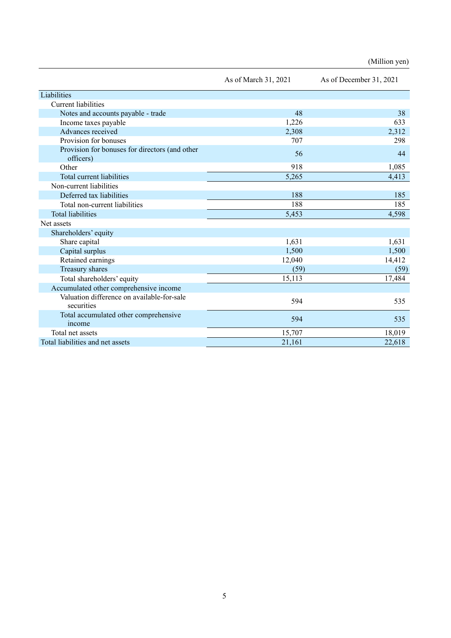|                                                             | As of March 31, 2021 | As of December 31, 2021 |  |
|-------------------------------------------------------------|----------------------|-------------------------|--|
| Liabilities                                                 |                      |                         |  |
| Current liabilities                                         |                      |                         |  |
| Notes and accounts payable - trade                          | 48                   | 38                      |  |
| Income taxes payable                                        | 1,226                | 633                     |  |
| Advances received                                           | 2,308                | 2,312                   |  |
| Provision for bonuses                                       | 707                  | 298                     |  |
| Provision for bonuses for directors (and other<br>officers) | 56                   | 44                      |  |
| Other                                                       | 918                  | 1,085                   |  |
| Total current liabilities                                   | 5,265                | 4,413                   |  |
| Non-current liabilities                                     |                      |                         |  |
| Deferred tax liabilities                                    | 188                  | 185                     |  |
| Total non-current liabilities                               | 188                  | 185                     |  |
| <b>Total liabilities</b>                                    | 5,453                | 4,598                   |  |
| Net assets                                                  |                      |                         |  |
| Shareholders' equity                                        |                      |                         |  |
| Share capital                                               | 1,631                | 1,631                   |  |
| Capital surplus                                             | 1,500                | 1,500                   |  |
| Retained earnings                                           | 12,040               | 14,412                  |  |
| Treasury shares                                             | (59)                 | (59)                    |  |
| Total shareholders' equity                                  | 15,113               | 17,484                  |  |
| Accumulated other comprehensive income                      |                      |                         |  |
| Valuation difference on available-for-sale<br>securities    | 594                  | 535                     |  |
| Total accumulated other comprehensive<br>income             | 594                  | 535                     |  |
| Total net assets                                            | 15,707               | 18,019                  |  |
| Total liabilities and net assets                            | 21,161               | 22,618                  |  |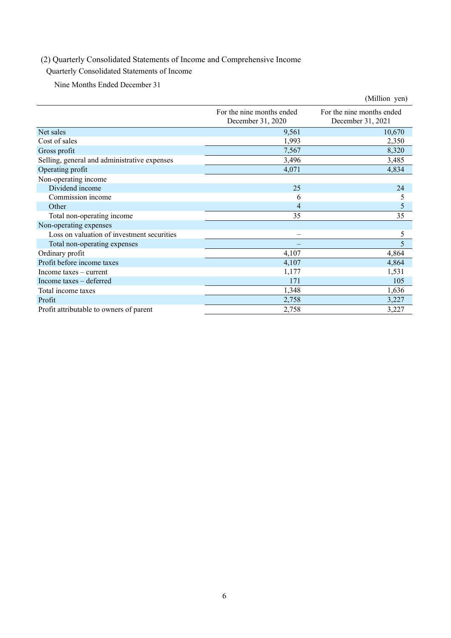# (2) Quarterly Consolidated Statements of Income and Comprehensive Income

# Quarterly Consolidated Statements of Income

Nine Months Ended December 31

|                                              |                                                | (Million yen)                                  |
|----------------------------------------------|------------------------------------------------|------------------------------------------------|
|                                              | For the nine months ended<br>December 31, 2020 | For the nine months ended<br>December 31, 2021 |
| Net sales                                    | 9,561                                          | 10,670                                         |
| Cost of sales                                | 1,993                                          | 2,350                                          |
| Gross profit                                 | 7,567                                          | 8,320                                          |
| Selling, general and administrative expenses | 3,496                                          | 3,485                                          |
| Operating profit                             | 4,071                                          | 4,834                                          |
| Non-operating income                         |                                                |                                                |
| Dividend income                              | 25                                             | 24                                             |
| Commission income                            | 6                                              | 5                                              |
| Other                                        | 4                                              | 5                                              |
| Total non-operating income                   | 35                                             | 35                                             |
| Non-operating expenses                       |                                                |                                                |
| Loss on valuation of investment securities   | $\overline{\phantom{0}}$                       | 5                                              |
| Total non-operating expenses                 |                                                | 5                                              |
| Ordinary profit                              | 4,107                                          | 4,864                                          |
| Profit before income taxes                   | 4,107                                          | 4,864                                          |
| Income taxes $-$ current                     | 1,177                                          | 1,531                                          |
| Income taxes - deferred                      | 171                                            | 105                                            |
| Total income taxes                           | 1,348                                          | 1,636                                          |
| Profit                                       | 2,758                                          | 3,227                                          |
| Profit attributable to owners of parent      | 2,758                                          | 3,227                                          |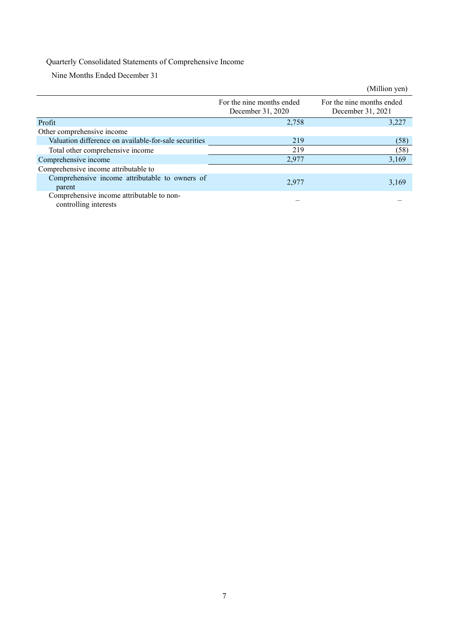# Quarterly Consolidated Statements of Comprehensive Income

Nine Months Ended December 31

|                                                                    |                                                | (Million yen)                                  |
|--------------------------------------------------------------------|------------------------------------------------|------------------------------------------------|
|                                                                    | For the nine months ended<br>December 31, 2020 | For the nine months ended<br>December 31, 2021 |
| Profit                                                             | 2,758                                          | 3,227                                          |
| Other comprehensive income                                         |                                                |                                                |
| Valuation difference on available-for-sale securities              | 219                                            | (58)                                           |
| Total other comprehensive income                                   | 219                                            | (58)                                           |
| Comprehensive income                                               | 2,977                                          | 3,169                                          |
| Comprehensive income attributable to                               |                                                |                                                |
| Comprehensive income attributable to owners of<br>parent           | 2,977                                          | 3,169                                          |
| Comprehensive income attributable to non-<br>controlling interests |                                                |                                                |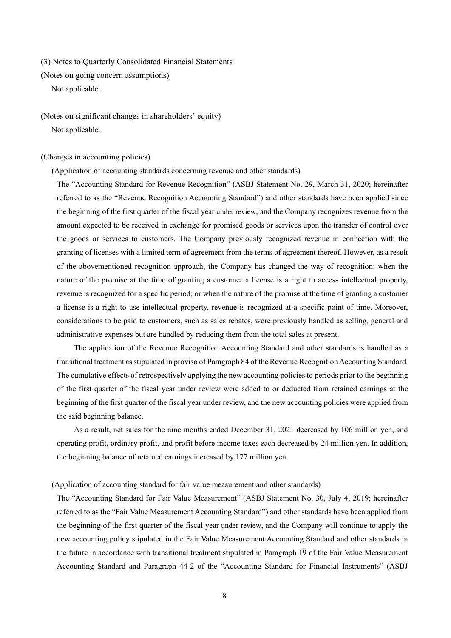(3) Notes to Quarterly Consolidated Financial Statements

(Notes on going concern assumptions)

Not applicable.

(Notes on significant changes in shareholders' equity) Not applicable.

(Changes in accounting policies)

(Application of accounting standards concerning revenue and other standards)

The "Accounting Standard for Revenue Recognition" (ASBJ Statement No. 29, March 31, 2020; hereinafter referred to as the "Revenue Recognition Accounting Standard") and other standards have been applied since the beginning of the first quarter of the fiscal year under review, and the Company recognizes revenue from the amount expected to be received in exchange for promised goods or services upon the transfer of control over the goods or services to customers. The Company previously recognized revenue in connection with the granting of licenses with a limited term of agreement from the terms of agreement thereof. However, as a result of the abovementioned recognition approach, the Company has changed the way of recognition: when the nature of the promise at the time of granting a customer a license is a right to access intellectual property, revenue is recognized for a specific period; or when the nature of the promise at the time of granting a customer a license is a right to use intellectual property, revenue is recognized at a specific point of time. Moreover, considerations to be paid to customers, such as sales rebates, were previously handled as selling, general and administrative expenses but are handled by reducing them from the total sales at present.

The application of the Revenue Recognition Accounting Standard and other standards is handled as a transitional treatment as stipulated in proviso of Paragraph 84 of the Revenue Recognition Accounting Standard. The cumulative effects of retrospectively applying the new accounting policies to periods prior to the beginning of the first quarter of the fiscal year under review were added to or deducted from retained earnings at the beginning of the first quarter of the fiscal year under review, and the new accounting policies were applied from the said beginning balance.

As a result, net sales for the nine months ended December 31, 2021 decreased by 106 million yen, and operating profit, ordinary profit, and profit before income taxes each decreased by 24 million yen. In addition, the beginning balance of retained earnings increased by 177 million yen.

#### (Application of accounting standard for fair value measurement and other standards)

The "Accounting Standard for Fair Value Measurement" (ASBJ Statement No. 30, July 4, 2019; hereinafter referred to as the "Fair Value Measurement Accounting Standard") and other standards have been applied from the beginning of the first quarter of the fiscal year under review, and the Company will continue to apply the new accounting policy stipulated in the Fair Value Measurement Accounting Standard and other standards in the future in accordance with transitional treatment stipulated in Paragraph 19 of the Fair Value Measurement Accounting Standard and Paragraph 44-2 of the "Accounting Standard for Financial Instruments" (ASBJ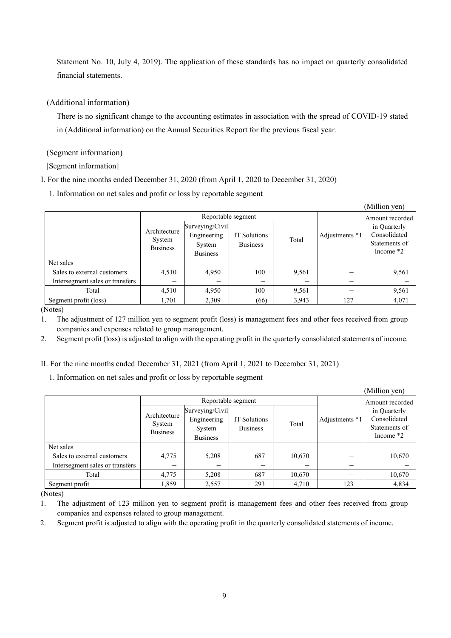Statement No. 10, July 4, 2019). The application of these standards has no impact on quarterly consolidated financial statements.

### (Additional information)

There is no significant change to the accounting estimates in association with the spread of COVID-19 stated in (Additional information) on the Annual Securities Report for the previous fiscal year.

(Segment information)

[Segment information]

I. For the nine months ended December 31, 2020 (from April 1, 2020 to December 31, 2020)

1. Information on net sales and profit or loss by reportable segment

|                                 |                                           |                                                             |                                 |                 |                | (Million yen)                                                |
|---------------------------------|-------------------------------------------|-------------------------------------------------------------|---------------------------------|-----------------|----------------|--------------------------------------------------------------|
|                                 |                                           | Reportable segment                                          |                                 | Amount recorded |                |                                                              |
|                                 | Architecture<br>System<br><b>Business</b> | Surveying/Civil<br>Engineering<br>System<br><b>Business</b> | IT Solutions<br><b>Business</b> | Total           | Adjustments *1 | in Quarterly<br>Consolidated<br>Statements of<br>Income $*2$ |
| Net sales                       |                                           |                                                             |                                 |                 |                |                                                              |
| Sales to external customers     | 4,510                                     | 4,950                                                       | 100                             | 9,561           |                | 9,561                                                        |
| Intersegment sales or transfers |                                           |                                                             |                                 |                 |                |                                                              |
| Total                           | 4,510                                     | 4,950                                                       | 100                             | 9,561           | —              | 9,561                                                        |
| Segment profit (loss)           | 1,701                                     | 2,309                                                       | (66)                            | 3,943           | 127            | 4,071                                                        |

(Notes)

1. The adjustment of 127 million yen to segment profit (loss) is management fees and other fees received from group companies and expenses related to group management.

2. Segment profit (loss) is adjusted to align with the operating profit in the quarterly consolidated statements of income.

II. For the nine months ended December 31, 2021 (from April 1, 2021 to December 31, 2021)

1. Information on net sales and profit or loss by reportable segment

|                                 |                 |                    |                 |                 |                          | (Million yen)                |
|---------------------------------|-----------------|--------------------|-----------------|-----------------|--------------------------|------------------------------|
|                                 |                 | Reportable segment |                 | Amount recorded |                          |                              |
|                                 | Architecture    | Surveying/Civil    |                 |                 |                          | in Quarterly                 |
|                                 | System          | Engineering        | IT Solutions    | Total           | Adjustments *1           | Consolidated                 |
|                                 | <b>Business</b> | System             | <b>Business</b> |                 |                          | Statements of<br>Income $*2$ |
|                                 |                 | <b>Business</b>    |                 |                 |                          |                              |
| Net sales                       |                 |                    |                 |                 |                          |                              |
| Sales to external customers     | 4,775           | 5,208              | 687             | 10,670          |                          | 10,670                       |
| Intersegment sales or transfers | –               |                    |                 |                 | $\overline{\phantom{0}}$ |                              |
| Total                           | 4,775           | 5,208              | 687             | 10,670          |                          | 10,670                       |
| Segment profit                  | 1,859           | 2,557              | 293             | 4,710           | 123                      | 4,834                        |

(Notes)

1. The adjustment of 123 million yen to segment profit is management fees and other fees received from group companies and expenses related to group management.

2. Segment profit is adjusted to align with the operating profit in the quarterly consolidated statements of income.